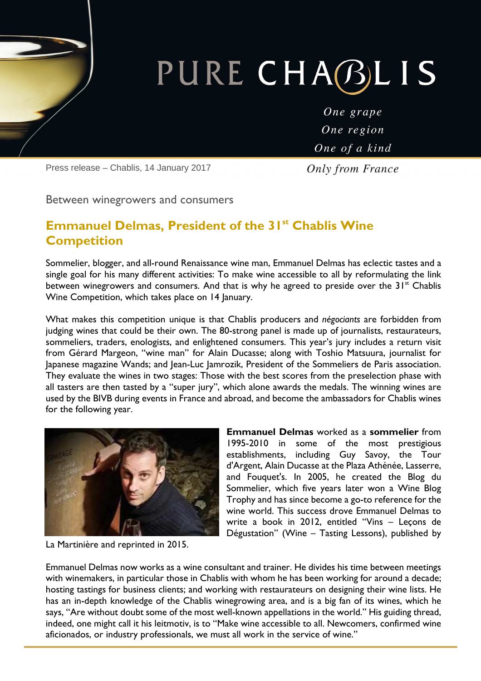# PURE CHABLIS

One grape One region One of a kind

Press release – Chablis, 14 January 2017

**Only from France** 

Between winegrowers and consumers

### **Emmanuel Delmas, President of the 31st Chablis Wine Competition**

Sommelier, blogger, and all-round Renaissance wine man, Emmanuel Delmas has eclectic tastes and a single goal for his many different activities: To make wine accessible to all by reformulating the link between winegrowers and consumers. And that is why he agreed to preside over the  $31<sup>st</sup>$  Chablis Wine Competition, which takes place on 14 January.

What makes this competition unique is that Chablis producers and *négociants* are forbidden from judging wines that could be their own. The 80-strong panel is made up of journalists, restaurateurs, sommeliers, traders, enologists, and enlightened consumers. This year's jury includes a return visit from Gérard Margeon, "wine man" for Alain Ducasse; along with Toshio Matsuura, journalist for Japanese magazine Wands; and Jean-Luc Jamrozik, President of the Sommeliers de Paris association. They evaluate the wines in two stages: Those with the best scores from the preselection phase with all tasters are then tasted by a "super jury", which alone awards the medals. The winning wines are used by the BIVB during events in France and abroad, and become the ambassadors for Chablis wines for the following year.



La Martinière and reprinted in 2015.

**Emmanuel Delmas** worked as a **sommelier** from 1995-2010 in some of the most prestigious establishments, including Guy Savoy, the Tour d'Argent, Alain Ducasse at the Plaza Athénée, Lasserre, and Fouquet's. In 2005, he created the Blog du Sommelier, which five years later won a Wine Blog Trophy and has since become a go-to reference for the wine world. This success drove Emmanuel Delmas to write a book in 2012, entitled "Vins – Leçons de Dégustation" (Wine – Tasting Lessons), published by

Emmanuel Delmas now works as a wine consultant and trainer. He divides his time between meetings with winemakers, in particular those in Chablis with whom he has been working for around a decade; hosting tastings for business clients; and working with restaurateurs on designing their wine lists. He has an in-depth knowledge of the Chablis winegrowing area, and is a big fan of its wines, which he says, "Are without doubt some of the most well-known appellations in the world." His guiding thread, indeed, one might call it his leitmotiv, is to "Make wine accessible to all. Newcomers, confirmed wine aficionados, or industry professionals, we must all work in the service of wine."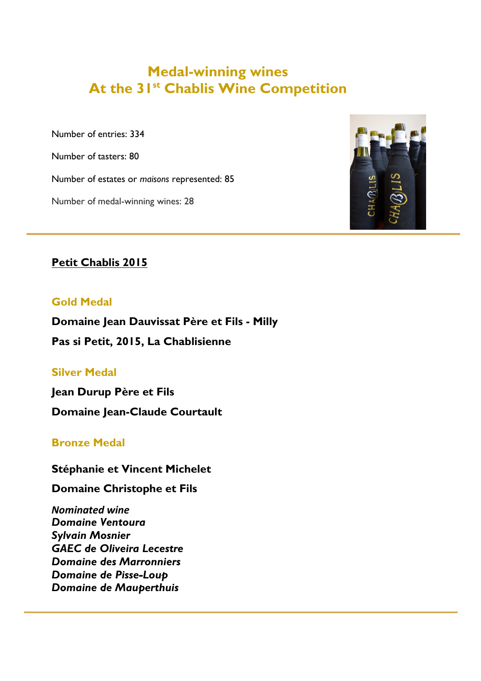## **Medal-winning wines At the 31st Chablis Wine Competition**

Number of entries: 334

Number of tasters: 80

Number of estates or *maisons* represented: 85

Number of medal-winning wines: 28



#### **Petit Chablis 2015**

#### **Gold Medal**

**Domaine Jean Dauvissat Père et Fils - Milly** 

**Pas si Petit, 2015, La Chablisienne** 

#### **Silver Medal**

**Jean Durup Père et Fils Domaine Jean-Claude Courtault** 

#### **Bronze Medal**

#### **Stéphanie et Vincent Michelet**

**Domaine Christophe et Fils** 

*Nominated wine Domaine Ventoura Sylvain Mosnier GAEC de Oliveira Lecestre Domaine des Marronniers Domaine de Pisse-Loup Domaine de Mauperthuis*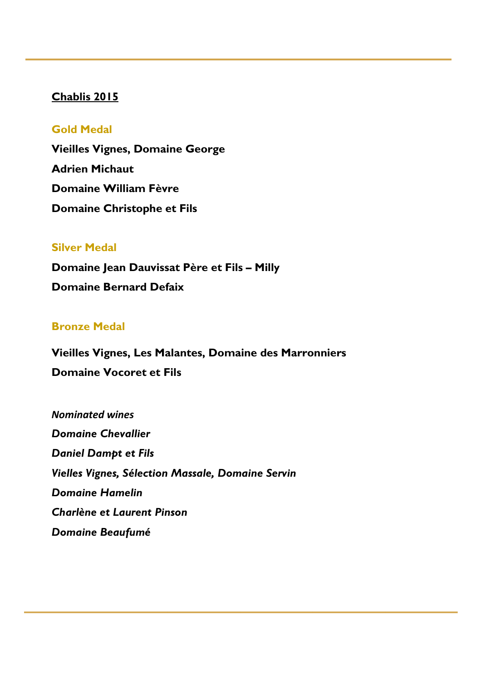#### **Chablis 2015**

#### **Gold Medal**

**Vieilles Vignes, Domaine George Adrien Michaut Domaine William Fèvre Domaine Christophe et Fils** 

#### **Silver Medal**

**Domaine Jean Dauvissat Père et Fils – Milly Domaine Bernard Defaix** 

#### **Bronze Medal**

**Vieilles Vignes, Les Malantes, Domaine des Marronniers Domaine Vocoret et Fils** 

*Nominated wines Domaine Chevallier Daniel Dampt et Fils Vielles Vignes, Sélection Massale, Domaine Servin Domaine Hamelin Charlène et Laurent Pinson Domaine Beaufumé*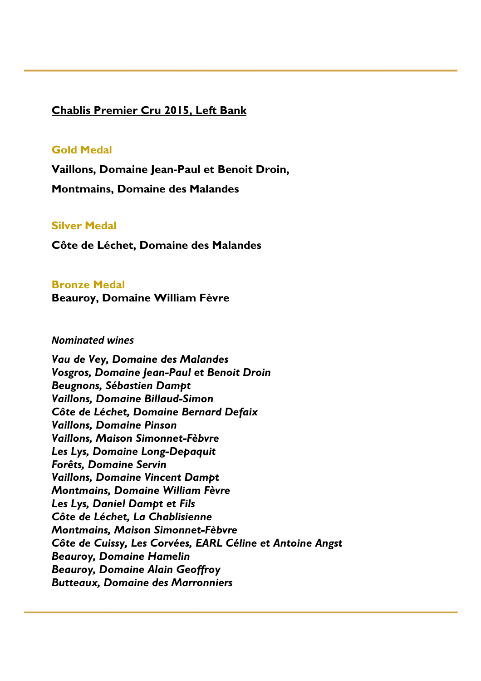#### **Chablis Premier Cru 2015, Left Bank**

#### **Gold Medal**

**Vaillons, Domaine Jean-Paul et Benoit Droin,** 

**Montmains, Domaine des Malandes** 

#### **Silver Medal**

**Côte de Léchet, Domaine des Malandes** 

#### **Bronze Medal**

**Beauroy, Domaine William Fèvre**

#### *Nominated wines*

*Vau de Vey, Domaine des Malandes Vosgros, Domaine Jean-Paul et Benoit Droin Beugnons, Sébastien Dampt Vaillons, Domaine Billaud-Simon Côte de Léchet, Domaine Bernard Defaix Vaillons, Domaine Pinson Vaillons, Maison Simonnet-Fèbvre Les Lys, Domaine Long-Depaquit Forêts, Domaine Servin Vaillons, Domaine Vincent Dampt Montmains, Domaine William Fèvre Les Lys, Daniel Dampt et Fils Côte de Léchet, La Chablisienne Montmains, Maison Simonnet-Fèbvre Côte de Cuissy, Les Corvées, EARL Céline et Antoine Angst Beauroy, Domaine Hamelin Beauroy, Domaine Alain Geoffroy Butteaux, Domaine des Marronniers*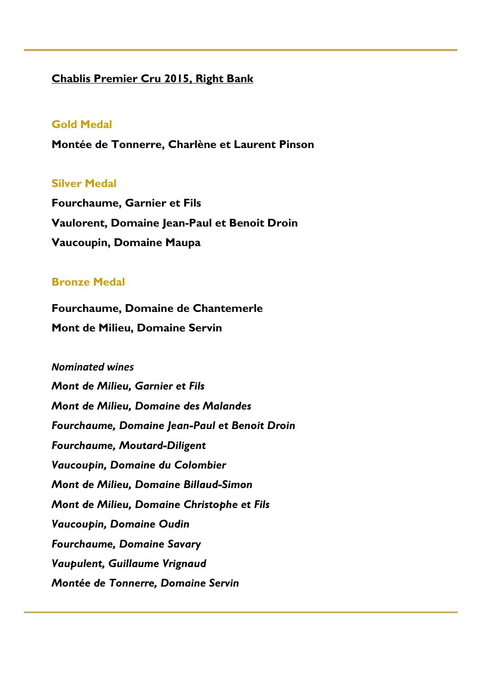#### **Chablis Premier Cru 2015, Right Bank**

#### **Gold Medal**

**Montée de Tonnerre, Charlène et Laurent Pinson** 

#### **Silver Medal**

**Fourchaume, Garnier et Fils Vaulorent, Domaine Jean-Paul et Benoit Droin Vaucoupin, Domaine Maupa**

#### **Bronze Medal**

**Fourchaume, Domaine de Chantemerle Mont de Milieu, Domaine Servin**

*Nominated wines Mont de Milieu, Garnier et Fils Mont de Milieu, Domaine des Malandes Fourchaume, Domaine Jean-Paul et Benoit Droin Fourchaume, Moutard-Diligent Vaucoupin, Domaine du Colombier Mont de Milieu, Domaine Billaud-Simon Mont de Milieu, Domaine Christophe et Fils Vaucoupin, Domaine Oudin Fourchaume, Domaine Savary Vaupulent, Guillaume Vrignaud Montée de Tonnerre, Domaine Servin*